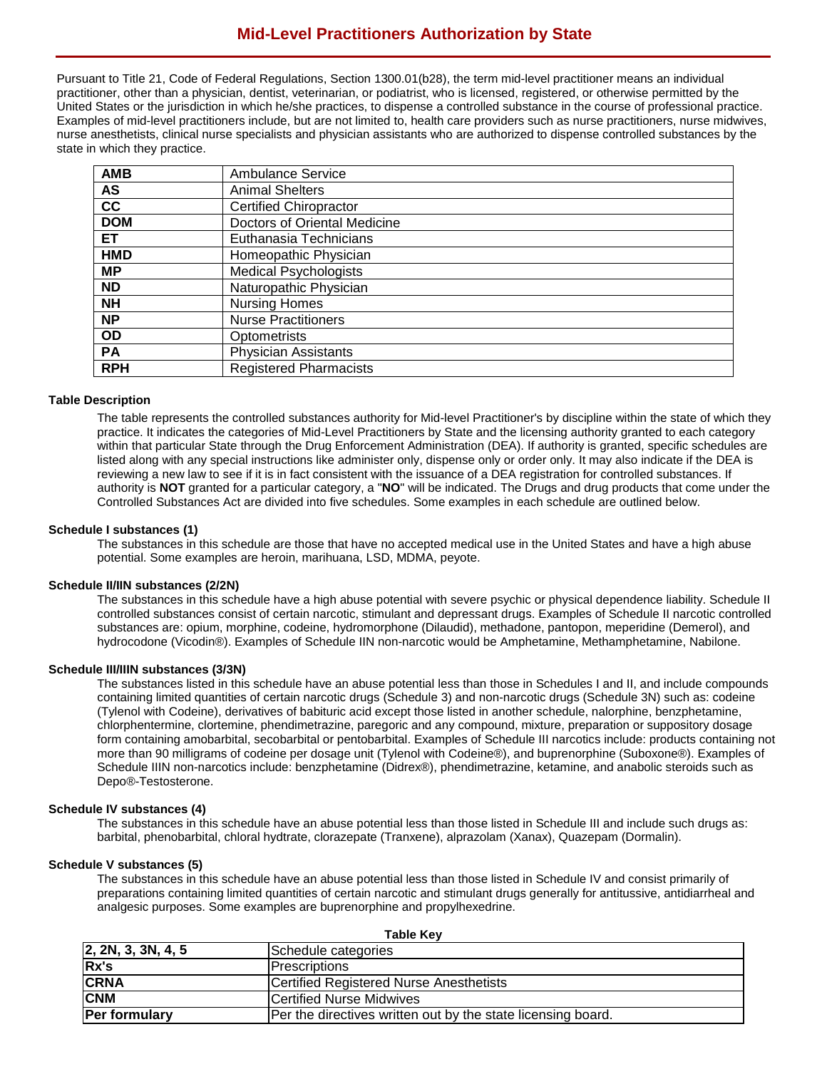Pursuant to Title 21, Code of Federal Regulations, Section 1300.01(b28), the term mid-level practitioner means an individual practitioner, other than a physician, dentist, veterinarian, or podiatrist, who is licensed, registered, or otherwise permitted by the United States or the jurisdiction in which he/she practices, to dispense a controlled substance in the course of professional practice. Examples of mid-level practitioners include, but are not limited to, health care providers such as nurse practitioners, nurse midwives, nurse anesthetists, clinical nurse specialists and physician assistants who are authorized to dispense controlled substances by the state in which they practice.

| <b>Ambulance Service</b>      |
|-------------------------------|
| <b>Animal Shelters</b>        |
| <b>Certified Chiropractor</b> |
| Doctors of Oriental Medicine  |
| Euthanasia Technicians        |
| Homeopathic Physician         |
| <b>Medical Psychologists</b>  |
| Naturopathic Physician        |
| <b>Nursing Homes</b>          |
| <b>Nurse Practitioners</b>    |
| Optometrists                  |
| <b>Physician Assistants</b>   |
| <b>Registered Pharmacists</b> |
|                               |

# **Table Description**

The table represents the controlled substances authority for Mid-level Practitioner's by discipline within the state of which they practice. It indicates the categories of Mid-Level Practitioners by State and the licensing authority granted to each category within that particular State through the Drug Enforcement Administration (DEA). If authority is granted, specific schedules are listed along with any special instructions like administer only, dispense only or order only. It may also indicate if the DEA is reviewing a new law to see if it is in fact consistent with the issuance of a DEA registration for controlled substances. If authority is **NOT** granted for a particular category, a "**NO**" will be indicated. The Drugs and drug products that come under the Controlled Substances Act are divided into five schedules. Some examples in each schedule are outlined below.

# **Schedule I substances (1)**

The substances in this schedule are those that have no accepted medical use in the United States and have a high abuse potential. Some examples are heroin, marihuana, LSD, MDMA, peyote.

## **Schedule II/IIN substances (2/2N)**

The substances in this schedule have a high abuse potential with severe psychic or physical dependence liability. Schedule II controlled substances consist of certain narcotic, stimulant and depressant drugs. Examples of Schedule II narcotic controlled substances are: opium, morphine, codeine, hydromorphone (Dilaudid), methadone, pantopon, meperidine (Demerol), and hydrocodone (Vicodin®). Examples of Schedule IIN non-narcotic would be Amphetamine, Methamphetamine, Nabilone.

## **Schedule III/IIIN substances (3/3N)**

The substances listed in this schedule have an abuse potential less than those in Schedules I and II, and include compounds containing limited quantities of certain narcotic drugs (Schedule 3) and non-narcotic drugs (Schedule 3N) such as: codeine (Tylenol with Codeine), derivatives of babituric acid except those listed in another schedule, nalorphine, benzphetamine, chlorphentermine, clortemine, phendimetrazine, paregoric and any compound, mixture, preparation or suppository dosage form containing amobarbital, secobarbital or pentobarbital. Examples of Schedule III narcotics include: products containing not more than 90 milligrams of codeine per dosage unit (Tylenol with Codeine®), and buprenorphine (Suboxone®). Examples of Schedule IIIN non-narcotics include: benzphetamine (Didrex®), phendimetrazine, ketamine, and anabolic steroids such as Depo®-Testosterone.

#### **Schedule IV substances (4)**

The substances in this schedule have an abuse potential less than those listed in Schedule III and include such drugs as: barbital, phenobarbital, chloral hydtrate, clorazepate (Tranxene), alprazolam (Xanax), Quazepam (Dormalin).

#### **Schedule V substances (5)**

The substances in this schedule have an abuse potential less than those listed in Schedule IV and consist primarily of preparations containing limited quantities of certain narcotic and stimulant drugs generally for antitussive, antidiarrheal and analgesic purposes. Some examples are buprenorphine and propylhexedrine.

|                    | <b>Table Key</b>                                             |  |  |  |  |  |  |  |  |  |
|--------------------|--------------------------------------------------------------|--|--|--|--|--|--|--|--|--|
| 2, 2N, 3, 3N, 4, 5 | Schedule categories                                          |  |  |  |  |  |  |  |  |  |
| Rx's               | Prescriptions                                                |  |  |  |  |  |  |  |  |  |
| <b>CRNA</b>        | <b>Certified Registered Nurse Anesthetists</b>               |  |  |  |  |  |  |  |  |  |
| <b>CNM</b>         | <b>Certified Nurse Midwives</b>                              |  |  |  |  |  |  |  |  |  |
| Per formulary      | Per the directives written out by the state licensing board. |  |  |  |  |  |  |  |  |  |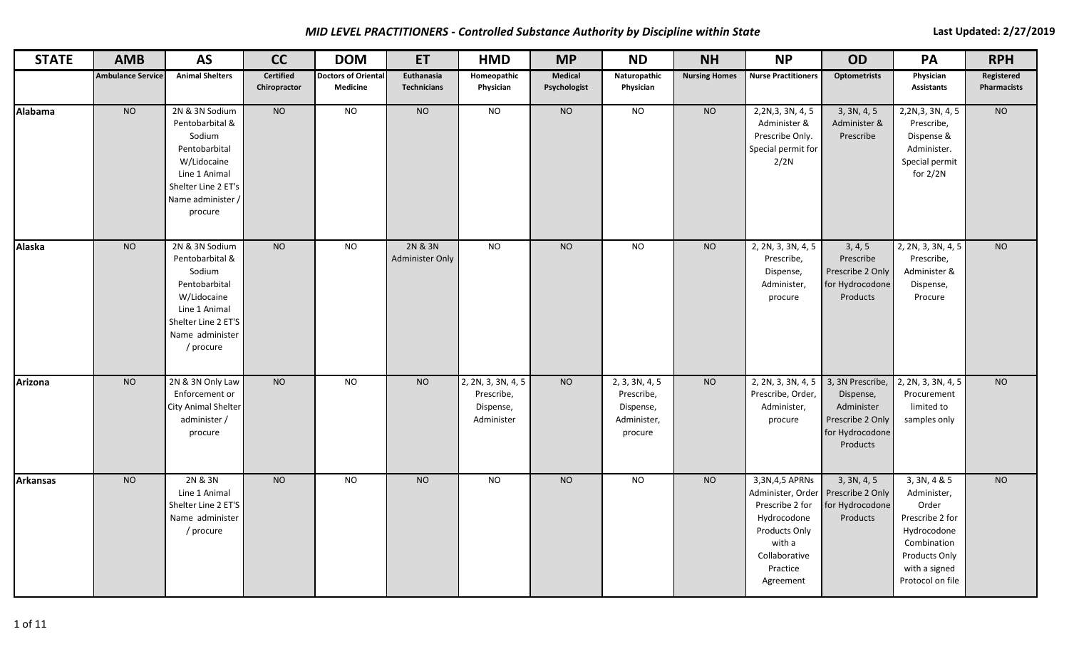*MID LEVEL PRACTITIONERS - Controlled Substance Authority by Discipline within State* **Last Last Updated: 2/27/2019** 

| <b>STATE</b>    | <b>AMB</b>               | <b>AS</b>                                                                                                                                           | cc                        | <b>DOM</b>                                    | <b>ET</b>                        | <b>HMD</b>                                                  | <b>MP</b>               | <b>ND</b>                                                                         | <b>NH</b>            | <b>NP</b>                                                                                                                                                     | <b>OD</b>                                                                                      | <b>PA</b>                                                                                                                                   | <b>RPH</b>                |
|-----------------|--------------------------|-----------------------------------------------------------------------------------------------------------------------------------------------------|---------------------------|-----------------------------------------------|----------------------------------|-------------------------------------------------------------|-------------------------|-----------------------------------------------------------------------------------|----------------------|---------------------------------------------------------------------------------------------------------------------------------------------------------------|------------------------------------------------------------------------------------------------|---------------------------------------------------------------------------------------------------------------------------------------------|---------------------------|
|                 | <b>Ambulance Service</b> | <b>Animal Shelters</b>                                                                                                                              | Certified<br>Chiropractor | <b>Doctors of Oriental</b><br><b>Medicine</b> | Euthanasia<br><b>Technicians</b> | Homeopathic<br>Physician                                    | Medical<br>Psychologist | Naturopathic<br>Physician                                                         | <b>Nursing Homes</b> | <b>Nurse Practitioners</b>                                                                                                                                    | <b>Optometrists</b>                                                                            | Physician<br><b>Assistants</b>                                                                                                              | Registered<br>Pharmacists |
| Alabama         | <b>NO</b>                | 2N & 3N Sodium<br>Pentobarbital &<br>Sodium<br>Pentobarbital<br>W/Lidocaine<br>Line 1 Animal<br>Shelter Line 2 ET's<br>Name administer /<br>procure | N <sub>O</sub>            | N <sub>O</sub>                                | N <sub>O</sub>                   | N <sub>O</sub>                                              | $\rm NO$                | N <sub>O</sub>                                                                    | NO                   | 2,2N,3, 3N, 4, 5<br>Administer &<br>Prescribe Only.<br>Special permit for<br>2/2N                                                                             | 3, 3N, 4, 5<br>Administer &<br>Prescribe                                                       | 2,2N,3, 3N, 4, 5<br>Prescribe,<br>Dispense &<br>Administer.<br>Special permit<br>for 2/2N                                                   | N <sub>O</sub>            |
| <b>Alaska</b>   | <b>NO</b>                | 2N & 3N Sodium<br>Pentobarbital &<br>Sodium<br>Pentobarbital<br>W/Lidocaine<br>Line 1 Animal<br>Shelter Line 2 ET'S<br>Name administer<br>/ procure | <b>NO</b>                 | <b>NO</b>                                     | 2N & 3N<br>Administer Only       | <b>NO</b>                                                   | NO                      | N <sub>O</sub>                                                                    | <b>NO</b>            | 2, 2N, 3, 3N, 4, 5<br>Prescribe,<br>Dispense,<br>Administer,<br>procure                                                                                       | 3, 4, 5<br>Prescribe<br>Prescribe 2 Only<br>for Hydrocodone<br>Products                        | 2, 2N, 3, 3N, 4, 5<br>Prescribe,<br>Administer &<br>Dispense,<br>Procure                                                                    | <b>NO</b>                 |
| Arizona         | <b>NO</b>                | 2N & 3N Only Law<br>Enforcement or<br>City Animal Shelter<br>administer /<br>procure                                                                | <b>NO</b>                 | <b>NO</b>                                     | <b>NO</b>                        | 2, 2N, 3, 3N, 4, 5<br>Prescribe,<br>Dispense,<br>Administer | <b>NO</b>               | $\overline{2, 3}$ , 3N, 4, 5<br>Prescribe,<br>Dispense,<br>Administer,<br>procure | <b>NO</b>            | 2, 2N, 3, 3N, 4, 5<br>Prescribe, Order,<br>Administer,<br>procure                                                                                             | 3, 3N Prescribe,<br>Dispense,<br>Administer<br>Prescribe 2 Only<br>for Hydrocodone<br>Products | 2, 2N, 3, 3N, 4, 5<br>Procurement<br>limited to<br>samples only                                                                             | <b>NO</b>                 |
| <b>Arkansas</b> | <b>NO</b>                | 2N & 3N<br>Line 1 Animal<br>Shelter Line 2 ET'S<br>Name administer<br>/ procure                                                                     | <b>NO</b>                 | <b>NO</b>                                     | <b>NO</b>                        | <b>NO</b>                                                   | $NO$                    | <b>NO</b>                                                                         | <b>NO</b>            | 3,3N,4,5 APRNs<br>Administer, Order   Prescribe 2 Only<br>Prescribe 2 for<br>Hydrocodone<br>Products Only<br>with a<br>Collaborative<br>Practice<br>Agreement | 3, 3N, 4, 5<br>for Hydrocodone<br>Products                                                     | 3, 3N, 4 & 5<br>Administer,<br>Order<br>Prescribe 2 for<br>Hydrocodone<br>Combination<br>Products Only<br>with a signed<br>Protocol on file | <b>NO</b>                 |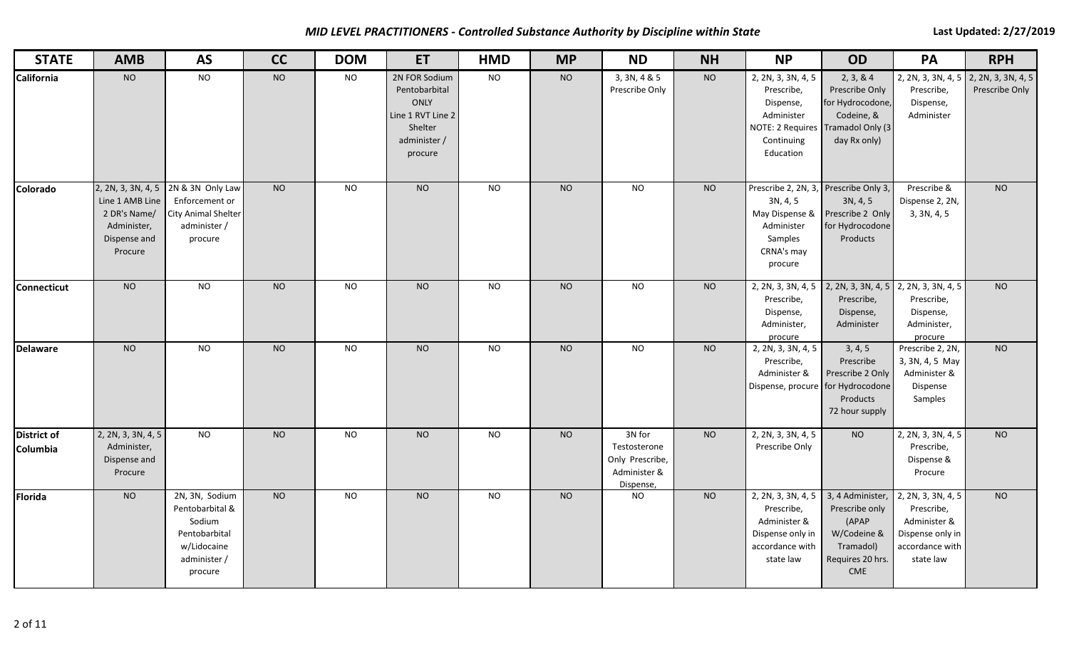*MID LEVEL PRACTITIONERS - Controlled Substance Authority by Discipline within State* **Last Last Updated: 2/27/2019** 

| <b>STATE</b>                   | <b>AMB</b>                                                                | <b>AS</b>                                                                                                      | cc        | <b>DOM</b> | <b>ET</b>                                                                                                | <b>HMD</b>     | <b>MP</b> | <b>ND</b>                                                              | <b>NH</b> | <b>NP</b>                                                                                                                   | <b>OD</b>                                                                                                 | PA                                                                                                   | <b>RPH</b>     |
|--------------------------------|---------------------------------------------------------------------------|----------------------------------------------------------------------------------------------------------------|-----------|------------|----------------------------------------------------------------------------------------------------------|----------------|-----------|------------------------------------------------------------------------|-----------|-----------------------------------------------------------------------------------------------------------------------------|-----------------------------------------------------------------------------------------------------------|------------------------------------------------------------------------------------------------------|----------------|
| <b>California</b>              | <b>NO</b>                                                                 | <b>NO</b>                                                                                                      | <b>NO</b> | <b>NO</b>  | 2N FOR Sodium<br>Pentobarbital<br><b>ONLY</b><br>Line 1 RVT Line 2<br>Shelter<br>administer /<br>procure | <b>NO</b>      | <b>NO</b> | 3, 3N, 4 & 5<br>Prescribe Only                                         | <b>NO</b> | 2, 2N, 3, 3N, 4, 5<br>Prescribe,<br>Dispense,<br>Administer<br>NOTE: 2 Requires Tramadol Only (3<br>Continuing<br>Education | 2, 3, 8, 4<br>Prescribe Only<br>for Hydrocodone,<br>Codeine, &<br>day Rx only)                            | 2, 2N, 3, 3N, 4, 5 2, 2N, 3, 3N, 4, 5<br>Prescribe,<br>Dispense,<br>Administer                       | Prescribe Only |
| Colorado                       | Line 1 AMB Line<br>2 DR's Name/<br>Administer,<br>Dispense and<br>Procure | 2, 2N, 3, 3N, 4, 5 2N & 3N Only Law<br>Enforcement or<br><b>City Animal Shelter</b><br>administer /<br>procure | <b>NO</b> | <b>NO</b>  | <b>NO</b>                                                                                                | <b>NO</b>      | <b>NO</b> | <b>NO</b>                                                              | <b>NO</b> | Prescribe 2, 2N, 3, Prescribe Only 3,<br>3N, 4, 5<br>May Dispense &<br>Administer<br>Samples<br>CRNA's may<br>procure       | 3N, 4, 5<br>Prescribe 2 Only<br>for Hydrocodone<br>Products                                               | Prescribe &<br>Dispense 2, 2N,<br>3, 3N, 4, 5                                                        | N <sub>O</sub> |
| <b>Connecticut</b>             | <b>NO</b>                                                                 | $\overline{N}$                                                                                                 | NO        | <b>NO</b>  | N <sub>O</sub>                                                                                           | <b>NO</b>      | NO        | $\overline{N}$                                                         | <b>NO</b> | 2, 2N, 3, 3N, 4, 5<br>Prescribe,<br>Dispense,<br>Administer,<br>procure                                                     | Prescribe,<br>Dispense,<br>Administer                                                                     | 2, 2N, 3, 3N, 4, 5 2, 2N, 3, 3N, 4, 5<br>Prescribe,<br>Dispense,<br>Administer,<br>procure           | <b>NO</b>      |
| <b>Delaware</b>                | N <sub>O</sub>                                                            | N <sub>O</sub>                                                                                                 | NO        | <b>NO</b>  | N <sub>O</sub>                                                                                           | N <sub>O</sub> | NO        | $\overline{N}$                                                         | NO        | 2, 2N, 3, 3N, 4, 5<br>Prescribe,<br>Administer &<br>Dispense, procure for Hydrocodone                                       | 3, 4, 5<br>Prescribe<br>Prescribe 2 Only<br>Products<br>72 hour supply                                    | Prescribe 2, 2N,<br>3, 3N, 4, 5 May<br>Administer &<br>Dispense<br>Samples                           | NO             |
| <b>District of</b><br>Columbia | 2, 2N, 3, 3N, 4, 5<br>Administer,<br>Dispense and<br>Procure              | <b>NO</b>                                                                                                      | <b>NO</b> | <b>NO</b>  | <b>NO</b>                                                                                                | <b>NO</b>      | <b>NO</b> | 3N for<br>Testosterone<br>Only Prescribe,<br>Administer &<br>Dispense, | <b>NO</b> | 2, 2N, 3, 3N, 4, 5<br>Prescribe Only                                                                                        | <b>NO</b>                                                                                                 | 2, 2N, 3, 3N, 4, 5<br>Prescribe,<br>Dispense &<br>Procure                                            | <b>NO</b>      |
| <b>Florida</b>                 | <b>NO</b>                                                                 | 2N, 3N, Sodium<br>Pentobarbital &<br>Sodium<br>Pentobarbital<br>w/Lidocaine<br>administer /<br>procure         | <b>NO</b> | <b>NO</b>  | <b>NO</b>                                                                                                | <b>NO</b>      | <b>NO</b> | <b>NO</b>                                                              | <b>NO</b> | 2, 2N, 3, 3N, 4, 5<br>Prescribe,<br>Administer &<br>Dispense only in<br>accordance with<br>state law                        | 3, 4 Administer,<br>Prescribe only<br>(APAP<br>W/Codeine &<br>Tramadol)<br>Requires 20 hrs.<br><b>CME</b> | 2, 2N, 3, 3N, 4, 5<br>Prescribe,<br>Administer &<br>Dispense only in<br>accordance with<br>state law | <b>NO</b>      |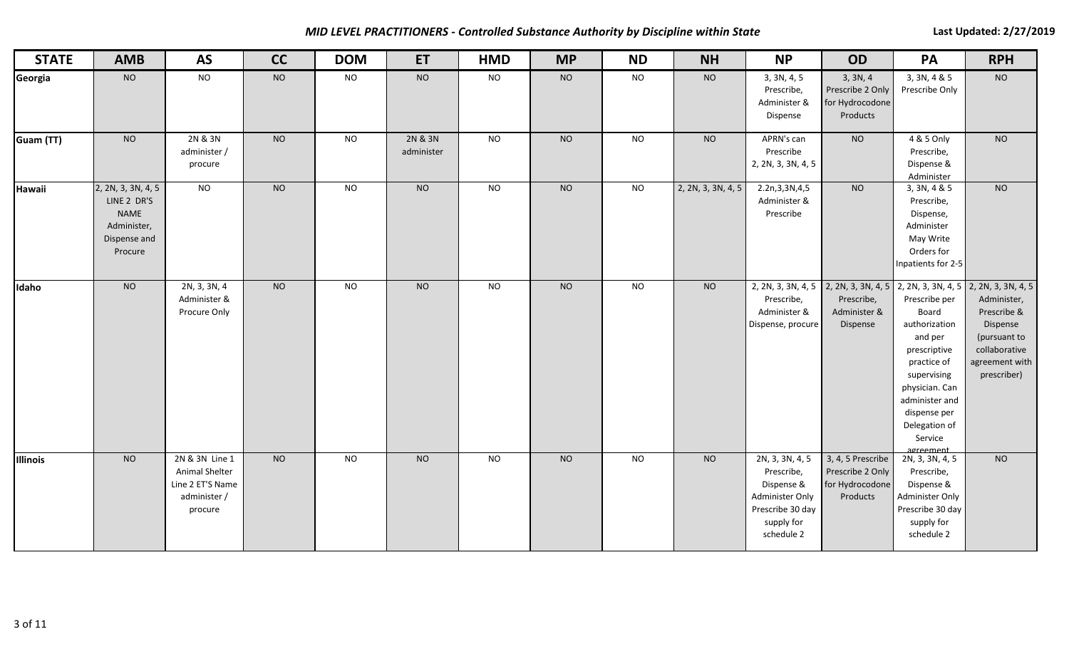*MID LEVEL PRACTITIONERS - Controlled Substance Authority by Discipline within State* **Last Last Updated: 2/27/2019** 

| <b>STATE</b> | <b>AMB</b>                                                                                 | <b>AS</b>                                                                       | cc             | <b>DOM</b>     | ET                    | <b>HMD</b>      | <b>MP</b> | <b>ND</b>      | <b>NH</b>          | <b>NP</b>                                                                                                      | OD                                                                              | PA                                                                                                                                                                                                                  | <b>RPH</b>                                                                                                                     |
|--------------|--------------------------------------------------------------------------------------------|---------------------------------------------------------------------------------|----------------|----------------|-----------------------|-----------------|-----------|----------------|--------------------|----------------------------------------------------------------------------------------------------------------|---------------------------------------------------------------------------------|---------------------------------------------------------------------------------------------------------------------------------------------------------------------------------------------------------------------|--------------------------------------------------------------------------------------------------------------------------------|
| Georgia      | <b>NO</b>                                                                                  | <b>NO</b>                                                                       | $NO$           | <b>NO</b>      | <b>NO</b>             | <b>NO</b>       | <b>NO</b> | <b>NO</b>      | <b>NO</b>          | 3, 3N, 4, 5<br>Prescribe,<br>Administer &<br>Dispense                                                          | 3, 3N, 4<br>Prescribe 2 Only<br>for Hydrocodone<br>Products                     | 3, 3N, 4 & 5<br>Prescribe Only                                                                                                                                                                                      | <b>NO</b>                                                                                                                      |
| Guam (TT)    | <b>NO</b>                                                                                  | 2N & 3N<br>administer /<br>procure                                              | <b>NO</b>      | <b>NO</b>      | 2N & 3N<br>administer | <b>NO</b>       | <b>NO</b> | <b>NO</b>      | <b>NO</b>          | APRN's can<br>Prescribe<br>2, 2N, 3, 3N, 4, 5                                                                  | $NO$                                                                            | 4 & 5 Only<br>Prescribe,<br>Dispense &<br>Administer                                                                                                                                                                | <b>NO</b>                                                                                                                      |
| Hawaii       | 2, 2N, 3, 3N, 4, 5<br>LINE 2 DR'S<br><b>NAME</b><br>Administer,<br>Dispense and<br>Procure | N <sub>O</sub>                                                                  | N <sub>O</sub> | $\overline{N}$ | N <sub>O</sub>        | $\overline{NQ}$ | NO        | N <sub>O</sub> | 2, 2N, 3, 3N, 4, 5 | 2.2n, 3, 3N, 4, 5<br>Administer &<br>Prescribe                                                                 | N <sub>O</sub>                                                                  | 3, 3N, 4 & 5<br>Prescribe,<br>Dispense,<br>Administer<br>May Write<br>Orders for<br>Inpatients for 2-5                                                                                                              | NO                                                                                                                             |
| Idaho        | $N$ O                                                                                      | 2N, 3, 3N, 4<br>Administer &<br>Procure Only                                    | NO             | <b>NO</b>      | N <sub>O</sub>        | N <sub>O</sub>  | NO        | N <sub>O</sub> | <b>NO</b>          | Prescribe,<br>Administer &<br>Dispense, procure                                                                | 2, 2N, 3, 3N, 4, 5 2, 2N, 3, 3N, 4, 5<br>Prescribe,<br>Administer &<br>Dispense | 2, 2N, 3, 3N, 4, 5<br>Prescribe per<br>Board<br>authorization<br>and per<br>prescriptive<br>practice of<br>supervising<br>physician. Can<br>administer and<br>dispense per<br>Delegation of<br>Service<br>agreement | 2, 2N, 3, 3N, 4, 5<br>Administer,<br>Prescribe &<br>Dispense<br>(pursuant to<br>collaborative<br>agreement with<br>prescriber) |
| Illinois     | <b>NO</b>                                                                                  | 2N & 3N Line 1<br>Animal Shelter<br>Line 2 ET'S Name<br>administer /<br>procure | <b>NO</b>      | <b>NO</b>      | <b>NO</b>             | <b>NO</b>       | <b>NO</b> | <b>NO</b>      | <b>NO</b>          | 2N, 3, 3N, 4, 5<br>Prescribe,<br>Dispense &<br>Administer Only<br>Prescribe 30 day<br>supply for<br>schedule 2 | 3, 4, 5 Prescribe<br>Prescribe 2 Only<br>for Hydrocodone<br>Products            | 2N, 3, 3N, 4, 5<br>Prescribe,<br>Dispense &<br>Administer Only<br>Prescribe 30 day<br>supply for<br>schedule 2                                                                                                      | <b>NO</b>                                                                                                                      |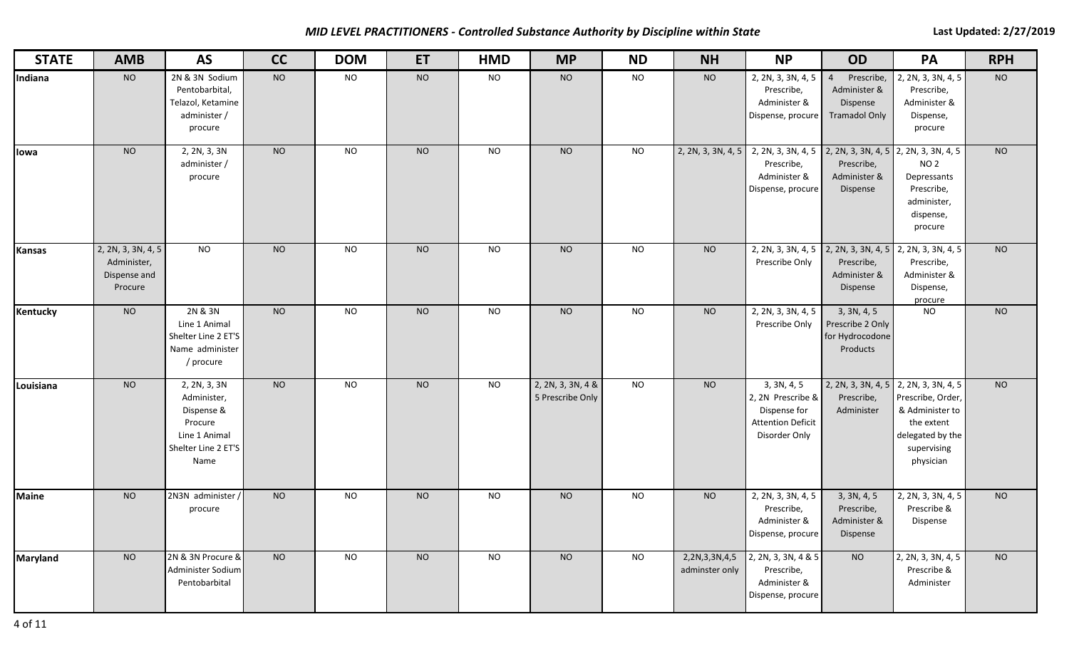# *MID LEVEL PRACTITIONERS - Controlled Substance Authority by Discipline within State* **Last Last Updated: 2/27/2019**

| <b>STATE</b>    | <b>AMB</b>                                                   | <b>AS</b>                                                                                            | cc        | <b>DOM</b> | ET        | <b>HMD</b> | <b>MP</b>                             | <b>ND</b> | <b>NH</b>                       | <b>NP</b>                                                                                                                      | <b>OD</b>                                                                        | PA                                                                                                                                          | <b>RPH</b> |
|-----------------|--------------------------------------------------------------|------------------------------------------------------------------------------------------------------|-----------|------------|-----------|------------|---------------------------------------|-----------|---------------------------------|--------------------------------------------------------------------------------------------------------------------------------|----------------------------------------------------------------------------------|---------------------------------------------------------------------------------------------------------------------------------------------|------------|
| Indiana         | <b>NO</b>                                                    | 2N & 3N Sodium<br>Pentobarbital,<br>Telazol, Ketamine<br>administer /<br>procure                     | <b>NO</b> | <b>NO</b>  | <b>NO</b> | <b>NO</b>  | <b>NO</b>                             | <b>NO</b> | <b>NO</b>                       | 2, 2N, 3, 3N, 4, 5<br>Prescribe,<br>Administer &<br>Dispense, procure                                                          | Prescribe,<br>$\overline{4}$<br>Administer &<br>Dispense<br><b>Tramadol Only</b> | 2, 2N, 3, 3N, 4, 5<br>Prescribe,<br>Administer &<br>Dispense,<br>procure                                                                    | <b>NO</b>  |
| lowa            | <b>NO</b>                                                    | 2, 2N, 3, 3N<br>administer /<br>procure                                                              | <b>NO</b> | <b>NO</b>  | <b>NO</b> | <b>NO</b>  | <b>NO</b>                             | <b>NO</b> |                                 | 2, 2N, 3, 3N, 4, 5 2, 2N, 3, 3N, 4, 5 2, 2N, 3, 3N, 4, 5 2, 2N, 3, 3N, 4, 5<br>Prescribe,<br>Administer &<br>Dispense, procure | Prescribe,<br>Administer &<br>Dispense                                           | NO <sub>2</sub><br>Depressants<br>Prescribe,<br>administer,<br>dispense,<br>procure                                                         | <b>NO</b>  |
| <b>Kansas</b>   | 2, 2N, 3, 3N, 4, 5<br>Administer,<br>Dispense and<br>Procure | <b>NO</b>                                                                                            | <b>NO</b> | <b>NO</b>  | <b>NO</b> | <b>NO</b>  | <b>NO</b>                             | <b>NO</b> | <b>NO</b>                       | 2, 2N, 3, 3N, 4, 5 2, 2N, 3, 3N, 4, 5<br>Prescribe Only                                                                        | Prescribe,<br>Administer &<br>Dispense                                           | 2, 2N, 3, 3N, 4, 5<br>Prescribe,<br>Administer &<br>Dispense,<br>procure                                                                    | <b>NO</b>  |
| Kentucky        | <b>NO</b>                                                    | 2N & 3N<br>Line 1 Animal<br>Shelter Line 2 ET'S<br>Name administer<br>/ procure                      | <b>NO</b> | <b>NO</b>  | <b>NO</b> | <b>NO</b>  | <b>NO</b>                             | <b>NO</b> | <b>NO</b>                       | 2, 2N, 3, 3N, 4, 5<br>Prescribe Only                                                                                           | 3, 3N, 4, 5<br>Prescribe 2 Only<br>for Hydrocodone<br>Products                   | <b>NO</b>                                                                                                                                   | <b>NO</b>  |
| Louisiana       | <b>NO</b>                                                    | 2, 2N, 3, 3N<br>Administer,<br>Dispense &<br>Procure<br>Line 1 Animal<br>Shelter Line 2 ET'S<br>Name | <b>NO</b> | <b>NO</b>  | <b>NO</b> | <b>NO</b>  | 2, 2N, 3, 3N, 4 &<br>5 Prescribe Only | <b>NO</b> | <b>NO</b>                       | 3, 3N, 4, 5<br>2, 2N Prescribe &<br>Dispense for<br><b>Attention Deficit</b><br>Disorder Only                                  | Prescribe,<br>Administer                                                         | 2, 2N, 3, 3N, 4, 5 2, 2N, 3, 3N, 4, 5<br>Prescribe, Order,<br>& Administer to<br>the extent<br>delegated by the<br>supervising<br>physician | <b>NO</b>  |
| <b>Maine</b>    | <b>NO</b>                                                    | 2N3N administer /<br>procure                                                                         | <b>NO</b> | <b>NO</b>  | <b>NO</b> | <b>NO</b>  | <b>NO</b>                             | <b>NO</b> | <b>NO</b>                       | 2, 2N, 3, 3N, 4, 5<br>Prescribe,<br>Administer &<br>Dispense, procure                                                          | 3, 3N, 4, 5<br>Prescribe,<br>Administer &<br>Dispense                            | 2, 2N, 3, 3N, 4, 5<br>Prescribe &<br>Dispense                                                                                               | <b>NO</b>  |
| <b>Maryland</b> | <b>NO</b>                                                    | 2N & 3N Procure &<br>Administer Sodium<br>Pentobarbital                                              | <b>NO</b> | <b>NO</b>  | <b>NO</b> | <b>NO</b>  | <b>NO</b>                             | <b>NO</b> | 2,2N,3,3N,4,5<br>adminster only | 2, 2N, 3, 3N, 4 & 5<br>Prescribe,<br>Administer &<br>Dispense, procure                                                         | <b>NO</b>                                                                        | 2, 2N, 3, 3N, 4, 5<br>Prescribe &<br>Administer                                                                                             | <b>NO</b>  |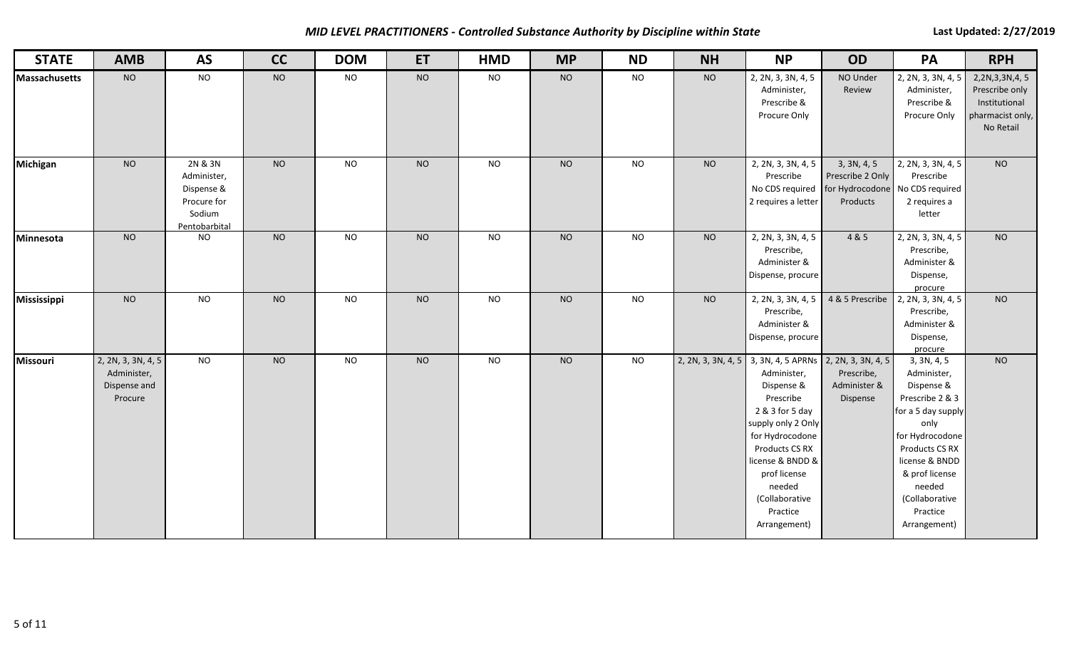*MID LEVEL PRACTITIONERS - Controlled Substance Authority by Discipline within State* **Last Last Updated: 2/27/2019** 

| <b>STATE</b>         | <b>AMB</b>                                                   | <b>AS</b>                                                                      | cc             | <b>DOM</b>     | ET             | <b>HMD</b>      | <b>MP</b> | <b>ND</b>      | <b>NH</b>          | <b>NP</b>                                                                                                                                                                                                                                                | <b>OD</b>                                                      | PA                                                                                                                                                                                                                         | <b>RPH</b>                                                                        |
|----------------------|--------------------------------------------------------------|--------------------------------------------------------------------------------|----------------|----------------|----------------|-----------------|-----------|----------------|--------------------|----------------------------------------------------------------------------------------------------------------------------------------------------------------------------------------------------------------------------------------------------------|----------------------------------------------------------------|----------------------------------------------------------------------------------------------------------------------------------------------------------------------------------------------------------------------------|-----------------------------------------------------------------------------------|
| <b>Massachusetts</b> | <b>NO</b>                                                    | <b>NO</b>                                                                      | <b>NO</b>      | <b>NO</b>      | $NO$           | <b>NO</b>       | <b>NO</b> | <b>NO</b>      | <b>NO</b>          | 2, 2N, 3, 3N, 4, 5<br>Administer,<br>Prescribe &<br>Procure Only                                                                                                                                                                                         | NO Under<br>Review                                             | 2, 2N, 3, 3N, 4, 5<br>Administer,<br>Prescribe &<br>Procure Only                                                                                                                                                           | 2,2N,3,3N,4,5<br>Prescribe only<br>Institutional<br>pharmacist only,<br>No Retail |
| Michigan             | N <sub>O</sub>                                               | 2N & 3N<br>Administer,<br>Dispense &<br>Procure for<br>Sodium<br>Pentobarbital | N <sub>O</sub> | N <sub>O</sub> | N <sub>O</sub> | N <sub>O</sub>  | <b>NO</b> | N <sub>O</sub> | <b>NO</b>          | 2, 2N, 3, 3N, 4, 5<br>Prescribe<br>No CDS required<br>2 requires a letter                                                                                                                                                                                | 3, 3N, 4, 5<br>Prescribe 2 Only<br>for Hydrocodone<br>Products | 2, 2N, 3, 3N, 4, 5<br>Prescribe<br>No CDS required<br>2 requires a<br>letter                                                                                                                                               | N <sub>O</sub>                                                                    |
| Minnesota            | <b>NO</b>                                                    | <b>NO</b>                                                                      | N <sub>O</sub> | <b>NO</b>      | <b>NO</b>      | $\overline{NQ}$ | <b>NO</b> | <b>NO</b>      | <b>NO</b>          | 2, 2N, 3, 3N, 4, 5<br>Prescribe,<br>Administer &<br>Dispense, procure                                                                                                                                                                                    | 4 & 5                                                          | 2, 2N, 3, 3N, 4, 5<br>Prescribe,<br>Administer &<br>Dispense,<br>procure                                                                                                                                                   | <b>NO</b>                                                                         |
| Mississippi          | <b>NO</b>                                                    | <b>NO</b>                                                                      | <b>NO</b>      | <b>NO</b>      | <b>NO</b>      | <b>NO</b>       | <b>NO</b> | <b>NO</b>      | <b>NO</b>          | 2, 2N, 3, 3N, 4, 5<br>Prescribe,<br>Administer &<br>Dispense, procure                                                                                                                                                                                    | 4 & 5 Prescribe                                                | 2, 2N, 3, 3N, 4, 5<br>Prescribe,<br>Administer &<br>Dispense,<br>procure                                                                                                                                                   | <b>NO</b>                                                                         |
| Missouri             | 2, 2N, 3, 3N, 4, 5<br>Administer,<br>Dispense and<br>Procure | <b>NO</b>                                                                      | <b>NO</b>      | <b>NO</b>      | <b>NO</b>      | <b>NO</b>       | <b>NO</b> | $NO$           | 2, 2N, 3, 3N, 4, 5 | 3, 3N, 4, 5 APRNs 2, 2N, 3, 3N, 4, 5<br>Administer,<br>Dispense &<br>Prescribe<br>2 & 3 for 5 day<br>supply only 2 Only<br>for Hydrocodone<br>Products CS RX<br>license & BNDD &<br>prof license<br>needed<br>(Collaborative<br>Practice<br>Arrangement) | Prescribe,<br>Administer &<br>Dispense                         | 3, 3N, 4, 5<br>Administer,<br>Dispense &<br>Prescribe 2 & 3<br>for a 5 day supply<br>only<br>for Hydrocodone<br>Products CS RX<br>license & BNDD<br>& prof license<br>needed<br>(Collaborative<br>Practice<br>Arrangement) | <b>NO</b>                                                                         |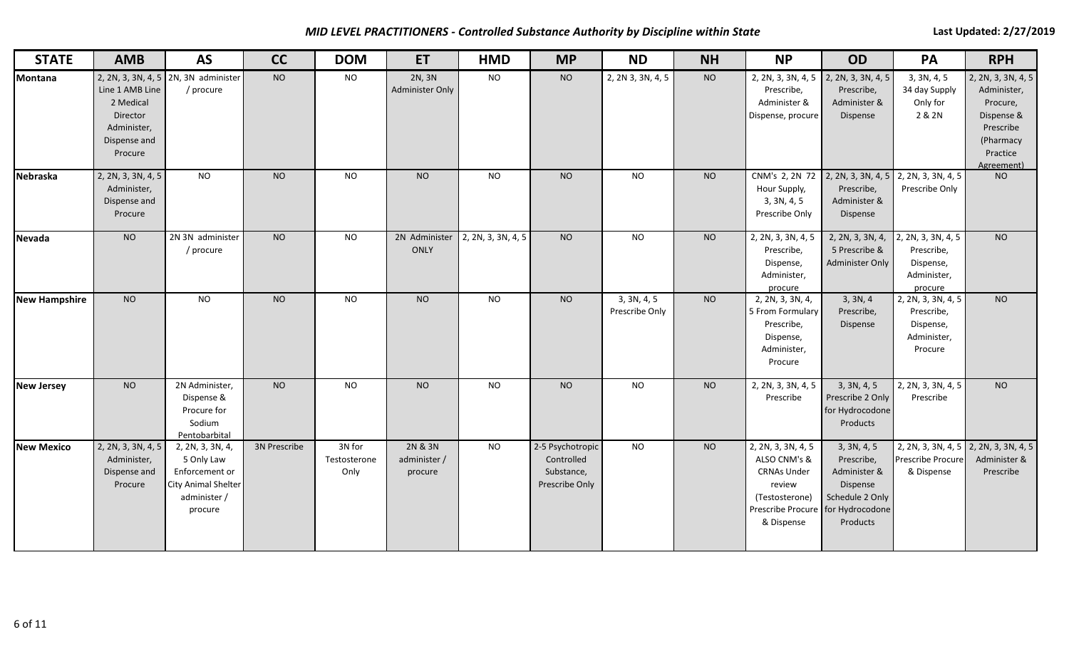*MID LEVEL PRACTITIONERS - Controlled Substance Authority by Discipline within State* **Last Last Updated: 2/27/2019** 

| <b>STATE</b>         | <b>AMB</b>                                                                         | <b>AS</b>                                                                                          | <b>CC</b>      | <b>DOM</b>                     | ET                                 | <b>HMD</b>         | <b>MP</b>                                                      | <b>ND</b>                     | <b>NH</b> | <b>NP</b>                                                                                                                               | <b>OD</b>                                                                                      | PA                                                                      | <b>RPH</b>                                                                                                      |
|----------------------|------------------------------------------------------------------------------------|----------------------------------------------------------------------------------------------------|----------------|--------------------------------|------------------------------------|--------------------|----------------------------------------------------------------|-------------------------------|-----------|-----------------------------------------------------------------------------------------------------------------------------------------|------------------------------------------------------------------------------------------------|-------------------------------------------------------------------------|-----------------------------------------------------------------------------------------------------------------|
| Montana              | Line 1 AMB Line<br>2 Medical<br>Director<br>Administer,<br>Dispense and<br>Procure | 2, 2N, 3, 3N, 4, 5 2N, 3N administer<br>/ procure                                                  | <b>NO</b>      | <b>NO</b>                      | 2N, 3N<br><b>Administer Only</b>   | <b>NO</b>          | <b>NO</b>                                                      | 2, 2N 3, 3N, 4, 5             | <b>NO</b> | 2, 2N, 3, 3N, 4, 5<br>Prescribe,<br>Administer &<br>Dispense, procure                                                                   | 2, 2N, 3, 3N, 4, 5<br>Prescribe,<br>Administer &<br>Dispense                                   | 3, 3N, 4, 5<br>34 day Supply<br>Only for<br>2 & 2N                      | 2, 2N, 3, 3N, 4, 5<br>Administer,<br>Procure,<br>Dispense &<br>Prescribe<br>(Pharmacy<br>Practice<br>Agreement) |
| Nebraska             | 2, 2N, 3, 3N, 4, 5<br>Administer,<br>Dispense and<br>Procure                       | $\overline{NQ}$                                                                                    | <b>NO</b>      | N <sub>O</sub>                 | N <sub>O</sub>                     | $\overline{N}$     | <b>NO</b>                                                      | N <sub>O</sub>                | <b>NO</b> | Hour Supply,<br>3, 3N, 4, 5<br>Prescribe Only                                                                                           | CNM's 2, 2N 72 2, 2N, 3, 3N, 4, 5 2, 2N, 3, 3N, 4, 5<br>Prescribe,<br>Administer &<br>Dispense | Prescribe Only                                                          | <b>NO</b>                                                                                                       |
| <b>Nevada</b>        | <b>NO</b>                                                                          | $2N$ 3N administer<br>/ procure                                                                    | <b>NO</b>      | <b>NO</b>                      | 2N Administer<br>ONLY              | 2, 2N, 3, 3N, 4, 5 | <b>NO</b>                                                      | <b>NO</b>                     | <b>NO</b> | 2, 2N, 3, 3N, 4, 5<br>Prescribe,<br>Dispense,<br>Administer,<br>procure                                                                 | 2, 2N, 3, 3N, 4,<br>5 Prescribe &<br>Administer Only                                           | 2, 2N, 3, 3N, 4, 5<br>Prescribe,<br>Dispense,<br>Administer,<br>procure | <b>NO</b>                                                                                                       |
| <b>New Hampshire</b> | <b>NO</b>                                                                          | $\overline{NQ}$                                                                                    | N <sub>O</sub> | <b>NO</b>                      | N <sub>O</sub>                     | $\overline{N}$     | N <sub>O</sub>                                                 | 3, 3N, 4, 5<br>Prescribe Only | <b>NO</b> | 2, 2N, 3, 3N, 4,<br>5 From Formulary<br>Prescribe,<br>Dispense,<br>Administer,<br>Procure                                               | 3, 3N, 4<br>Prescribe,<br>Dispense                                                             | 2, 2N, 3, 3N, 4, 5<br>Prescribe,<br>Dispense,<br>Administer,<br>Procure | N <sub>O</sub>                                                                                                  |
| <b>New Jersey</b>    | <b>NO</b>                                                                          | 2N Administer,<br>Dispense &<br>Procure for<br>Sodium<br>Pentobarbital                             | <b>NO</b>      | <b>NO</b>                      | <b>NO</b>                          | <b>NO</b>          | <b>NO</b>                                                      | <b>NO</b>                     | <b>NO</b> | 2, 2N, 3, 3N, 4, 5<br>Prescribe                                                                                                         | 3, 3N, 4, 5<br>Prescribe 2 Only<br>for Hydrocodone<br>Products                                 | 2, 2N, 3, 3N, 4, 5<br>Prescribe                                         | <b>NO</b>                                                                                                       |
| <b>New Mexico</b>    | 2, 2N, 3, 3N, 4, 5<br>Administer,<br>Dispense and<br>Procure                       | 2, 2N, 3, 3N, 4,<br>5 Only Law<br>Enforcement or<br>City Animal Shelter<br>administer /<br>procure | 3N Prescribe   | 3N for<br>Testosterone<br>Only | 2N & 3N<br>administer /<br>procure | <b>NO</b>          | 2-5 Psychotropic<br>Controlled<br>Substance,<br>Prescribe Only | <b>NO</b>                     | <b>NO</b> | 2, 2N, 3, 3N, 4, 5<br>ALSO CNM's &<br><b>CRNAs Under</b><br>review<br>(Testosterone)<br>Prescribe Procure for Hydrocodone<br>& Dispense | 3, 3N, 4, 5<br>Prescribe,<br>Administer &<br>Dispense<br>Schedule 2 Only<br>Products           | 2, 2N, 3, 3N, 4, 5<br>Prescribe Procure<br>& Dispense                   | 2, 2N, 3, 3N, 4, 5<br>Administer &<br>Prescribe                                                                 |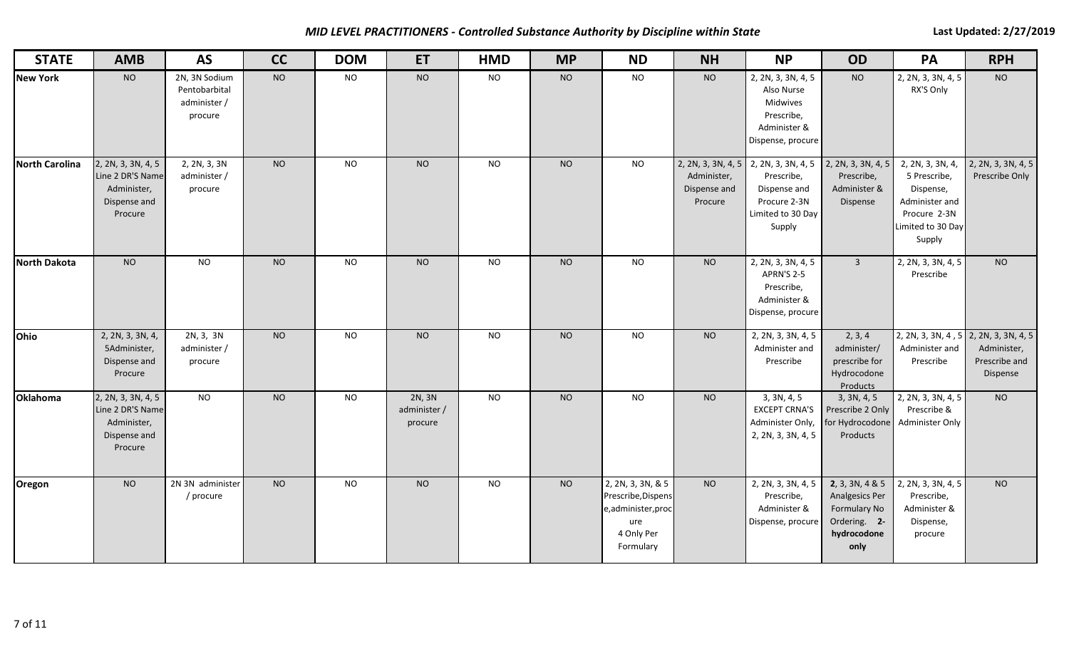*MID LEVEL PRACTITIONERS - Controlled Substance Authority by Discipline within State* **Last Last Updated: 2/27/2019** 

| <b>STATE</b>          | <b>AMB</b>                                                                       | <b>AS</b>                                                 | cc             | <b>DOM</b>     | <b>ET</b>                         | <b>HMD</b>     | <b>MP</b> | <b>ND</b>                                                                                      | <b>NH</b>                                                    | <b>NP</b>                                                                                       | <b>OD</b>                                                                                | PA                                                                                                             | <b>RPH</b>                               |
|-----------------------|----------------------------------------------------------------------------------|-----------------------------------------------------------|----------------|----------------|-----------------------------------|----------------|-----------|------------------------------------------------------------------------------------------------|--------------------------------------------------------------|-------------------------------------------------------------------------------------------------|------------------------------------------------------------------------------------------|----------------------------------------------------------------------------------------------------------------|------------------------------------------|
| <b>New York</b>       | <b>NO</b>                                                                        | 2N, 3N Sodium<br>Pentobarbital<br>administer /<br>procure | <b>NO</b>      | <b>NO</b>      | <b>NO</b>                         | <b>NO</b>      | <b>NO</b> | <b>NO</b>                                                                                      | <b>NO</b>                                                    | 2, 2N, 3, 3N, 4, 5<br>Also Nurse<br>Midwives<br>Prescribe,<br>Administer &<br>Dispense, procure | <b>NO</b>                                                                                | 2, 2N, 3, 3N, 4, 5<br>RX'S Only                                                                                | <b>NO</b>                                |
| <b>North Carolina</b> | 2, 2N, 3, 3N, 4, 5<br>Line 2 DR'S Name<br>Administer,<br>Dispense and<br>Procure | $\overline{2,}$ 2N, 3, 3N<br>administer /<br>procure      | <b>NO</b>      | <b>NO</b>      | <b>NO</b>                         | <b>NO</b>      | <b>NO</b> | <b>NO</b>                                                                                      | 2, 2N, 3, 3N, 4, 5<br>Administer,<br>Dispense and<br>Procure | 2, 2N, 3, 3N, 4, 5<br>Prescribe,<br>Dispense and<br>Procure 2-3N<br>Limited to 30 Day<br>Supply | 2, 2N, 3, 3N, 4, 5<br>Prescribe,<br>Administer &<br>Dispense                             | 2, 2N, 3, 3N, 4,<br>5 Prescribe,<br>Dispense,<br>Administer and<br>Procure 2-3N<br>Limited to 30 Day<br>Supply | 2, 2N, 3, 3N, 4, 5<br>Prescribe Only     |
| <b>North Dakota</b>   | N <sub>O</sub>                                                                   | N                                                         | N <sub>O</sub> | N <sub>O</sub> | N <sub>O</sub>                    | $\overline{N}$ | <b>NO</b> | N <sub>O</sub>                                                                                 | <b>NO</b>                                                    | 2, 2N, 3, 3N, 4, 5<br>APRN'S 2-5<br>Prescribe,<br>Administer &<br>Dispense, procure             | $\overline{3}$                                                                           | 2, 2N, 3, 3N, 4, 5<br>Prescribe                                                                                | N <sub>O</sub>                           |
| Ohio                  | 2, 2N, 3, 3N, 4,<br>5Administer,<br>Dispense and<br>Procure                      | 2N, 3, 3N<br>administer /<br>procure                      | <b>NO</b>      | <b>NO</b>      | <b>NO</b>                         | <b>NO</b>      | <b>NO</b> | <b>NO</b>                                                                                      | <b>NO</b>                                                    | 2, 2N, 3, 3N, 4, 5<br>Administer and<br>Prescribe                                               | 2, 3, 4<br>administer/<br>prescribe for<br>Hydrocodone<br>Products                       | 2, 2N, 3, 3N, 4, 5 2, 2N, 3, 3N, 4, 5<br>Administer and<br>Prescribe                                           | Administer,<br>Prescribe and<br>Dispense |
| Oklahoma              | 2, 2N, 3, 3N, 4, 5<br>Line 2 DR'S Name<br>Administer,<br>Dispense and<br>Procure | $\overline{NQ}$                                           | <b>NO</b>      | <b>NO</b>      | 2N, 3N<br>administer /<br>procure | <b>NO</b>      | <b>NO</b> | <b>NO</b>                                                                                      | <b>NO</b>                                                    | 3, 3N, 4, 5<br><b>EXCEPT CRNA'S</b><br>Administer Only,<br>2, 2N, 3, 3N, 4, 5                   | 3, 3N, 4, 5<br>Prescribe 2 Only<br>for Hydrocodone<br>Products                           | 2, 2N, 3, 3N, 4, 5<br>Prescribe &<br>Administer Only                                                           | <b>NO</b>                                |
| Oregon                | <b>NO</b>                                                                        | 2N 3N administer<br>/ procure                             | <b>NO</b>      | <b>NO</b>      | <b>NO</b>                         | <b>NO</b>      | <b>NO</b> | 2, 2N, 3, 3N, & 5<br>Prescribe, Dispens<br>e,administer,proc<br>ure<br>4 Only Per<br>Formulary | <b>NO</b>                                                    | 2, 2N, 3, 3N, 4, 5<br>Prescribe,<br>Administer &<br>Dispense, procure                           | 2, 3, 3N, 4 & 5<br>Analgesics Per<br>Formulary No<br>Ordering. 2-<br>hydrocodone<br>only | 2, 2N, 3, 3N, 4, 5<br>Prescribe,<br>Administer &<br>Dispense,<br>procure                                       | <b>NO</b>                                |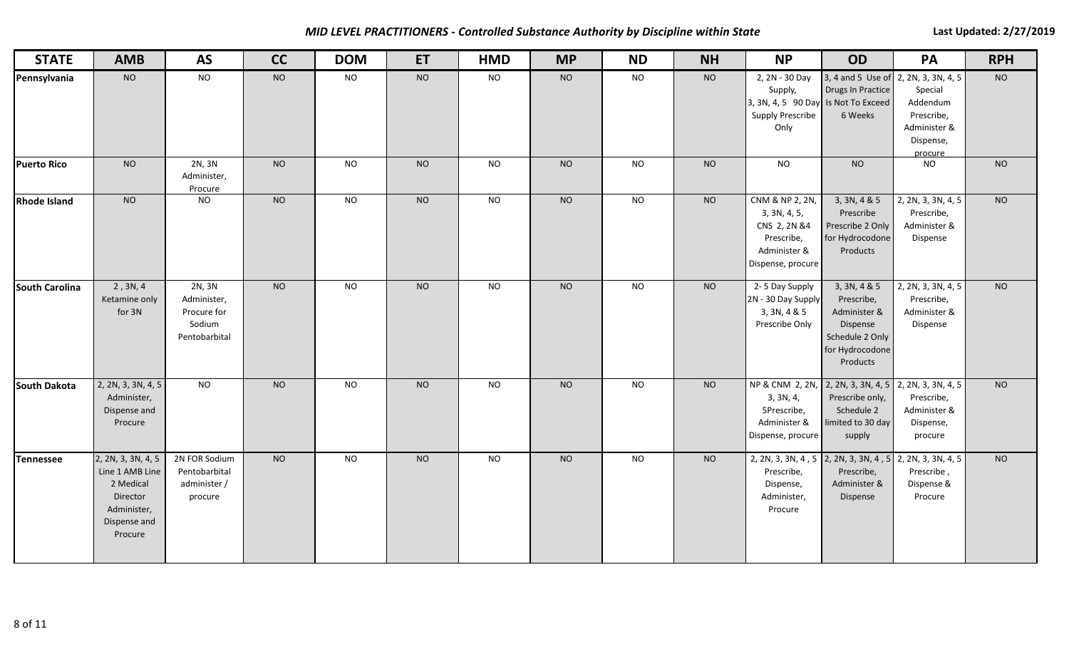*MID LEVEL PRACTITIONERS - Controlled Substance Authority by Discipline within State* **Last Last Updated: 2/27/2019** 

| <b>STATE</b>        | <b>AMB</b>                                                                                               | <b>AS</b>                                                       | cc             | <b>DOM</b> | <b>ET</b>      | <b>HMD</b>      | <b>MP</b> | <b>ND</b>      | <b>NH</b> | <b>NP</b>                                                                                                              | <b>OD</b>                                                                                                | PA                                                                        | <b>RPH</b>     |
|---------------------|----------------------------------------------------------------------------------------------------------|-----------------------------------------------------------------|----------------|------------|----------------|-----------------|-----------|----------------|-----------|------------------------------------------------------------------------------------------------------------------------|----------------------------------------------------------------------------------------------------------|---------------------------------------------------------------------------|----------------|
| Pennsylvania        | <b>NO</b>                                                                                                | <b>NO</b>                                                       | <b>NO</b>      | <b>NO</b>  | <b>NO</b>      | <b>NO</b>       | <b>NO</b> | <b>NO</b>      | <b>NO</b> | 2, 2N - 30 Day<br>Supply,<br>3, 3N, 4, 5 90 Day Is Not To Exceed<br><b>Supply Prescribe</b><br>Only                    | 3, 4 and 5 Use of 2, 2N, 3, 3N, 4, 5<br><b>Drugs In Practice</b><br>6 Weeks                              | Special<br>Addendum<br>Prescribe,<br>Administer &<br>Dispense,<br>procure | NO             |
| <b>Puerto Rico</b>  | <b>NO</b>                                                                                                | 2N, 3N<br>Administer,<br>Procure                                | <b>NO</b>      | <b>NO</b>  | <b>NO</b>      | <b>NO</b>       | <b>NO</b> | <b>NO</b>      | <b>NO</b> | <b>NO</b>                                                                                                              | N <sub>O</sub>                                                                                           | <b>NO</b>                                                                 | <b>NO</b>      |
| <b>Rhode Island</b> | <b>NO</b>                                                                                                | <b>NO</b>                                                       | <b>NO</b>      | <b>NO</b>  | N <sub>O</sub> | <b>NO</b>       | <b>NO</b> | N <sub>O</sub> | <b>NO</b> | CNM & NP 2, 2N,<br>3, 3N, 4, 5,<br>CNS 2, 2N &4<br>Prescribe,<br>Administer &<br>Dispense, procure                     | 3, 3N, 4 & 5<br>Prescribe<br>Prescribe 2 Only<br>for Hydrocodone<br>Products                             | 2, 2N, 3, 3N, 4, 5<br>Prescribe,<br>Administer &<br>Dispense              | N <sub>O</sub> |
| South Carolina      | 2, 3N, 4<br>Ketamine only<br>for 3N                                                                      | 2N, 3N<br>Administer,<br>Procure for<br>Sodium<br>Pentobarbital | <b>NO</b>      | <b>NO</b>  | <b>NO</b>      | <b>NO</b>       | <b>NO</b> | <b>NO</b>      | <b>NO</b> | 2-5 Day Supply<br>2N - 30 Day Supply<br>3, 3N, 4 & 5<br>Prescribe Only                                                 | 3, 3N, 4 & 5<br>Prescribe,<br>Administer &<br>Dispense<br>Schedule 2 Only<br>for Hydrocodone<br>Products | 2, 2N, 3, 3N, 4, 5<br>Prescribe,<br>Administer &<br>Dispense              | <b>NO</b>      |
| <b>South Dakota</b> | 2, 2N, 3, 3N, 4, 5<br>Administer,<br>Dispense and<br>Procure                                             | <b>NO</b>                                                       | <b>NO</b>      | <b>NO</b>  | <b>NO</b>      | <b>NO</b>       | <b>NO</b> | <b>NO</b>      | <b>NO</b> | NP & CNM 2, 2N, 2, 2N, 3, 3N, 4, 5 2, 2N, 3, 3N, 4, 5<br>3, 3N, 4,<br>5Prescribe,<br>Administer &<br>Dispense, procure | Prescribe only,<br>Schedule 2<br>limited to 30 day<br>supply                                             | Prescribe,<br>Administer &<br>Dispense,<br>procure                        | <b>NO</b>      |
| Tennessee           | 2, 2N, 3, 3N, 4, 5<br>Line 1 AMB Line<br>2 Medical<br>Director<br>Administer,<br>Dispense and<br>Procure | 2N FOR Sodium<br>Pentobarbital<br>administer /<br>procure       | N <sub>O</sub> | <b>NO</b>  | N <sub>O</sub> | $\overline{NQ}$ | NO        | N <sub>O</sub> | <b>NO</b> | 2, 2N, 3, 3N, 4, 5 2, 2N, 3, 3N, 4, 5<br>Prescribe,<br>Dispense,<br>Administer,<br>Procure                             | Prescribe,<br>Administer &<br>Dispense                                                                   | 2, 2N, 3, 3N, 4, 5<br>Prescribe,<br>Dispense &<br>Procure                 | N <sub>O</sub> |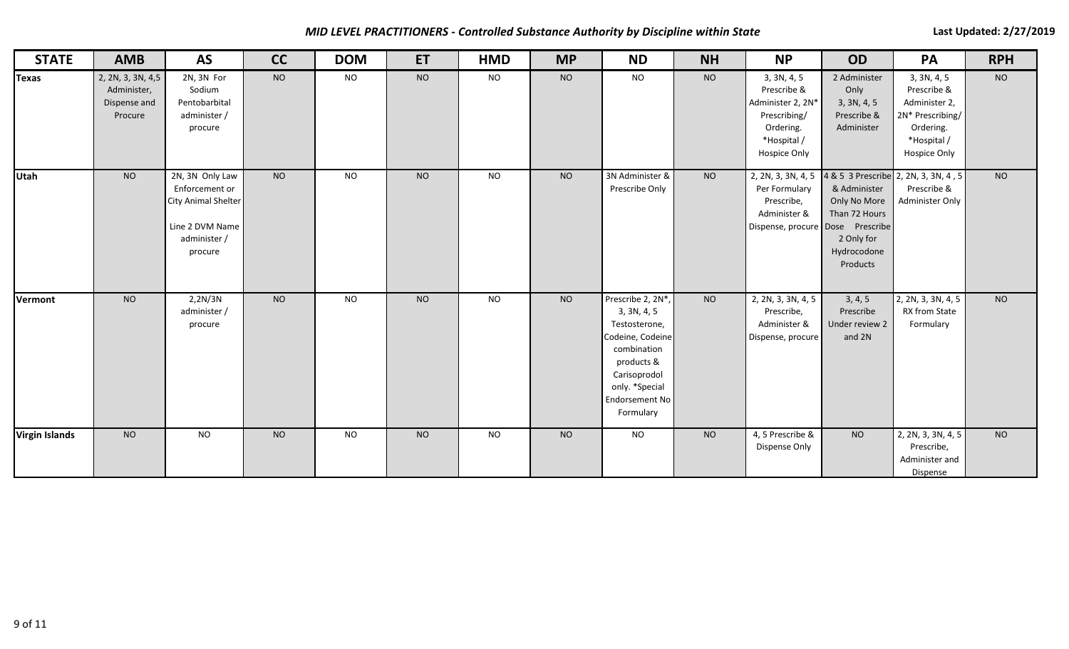*MID LEVEL PRACTITIONERS - Controlled Substance Authority by Discipline within State* **Last Last Updated: 2/27/2019** 

| <b>STATE</b>          | <b>AMB</b>                                                  | <b>AS</b>                                                                                              | cc        | <b>DOM</b> | ET        | <b>HMD</b> | <b>MP</b> | <b>ND</b>                                                                                                                                                                  | <b>NH</b> | <b>NP</b>                                                                                                                                  | OD                                                                                     | PA                                                                                                          | <b>RPH</b>     |
|-----------------------|-------------------------------------------------------------|--------------------------------------------------------------------------------------------------------|-----------|------------|-----------|------------|-----------|----------------------------------------------------------------------------------------------------------------------------------------------------------------------------|-----------|--------------------------------------------------------------------------------------------------------------------------------------------|----------------------------------------------------------------------------------------|-------------------------------------------------------------------------------------------------------------|----------------|
| <b>Texas</b>          | 2, 2N, 3, 3N, 4,5<br>Administer,<br>Dispense and<br>Procure | 2N, 3N For<br>Sodium<br>Pentobarbital<br>administer /<br>procure                                       | <b>NO</b> | <b>NO</b>  | <b>NO</b> | <b>NO</b>  | <b>NO</b> | NO                                                                                                                                                                         | <b>NO</b> | 3, 3N, 4, 5<br>Prescribe &<br>Administer 2, 2N*<br>Prescribing/<br>Ordering.<br>*Hospital /<br><b>Hospice Only</b>                         | 2 Administer<br>Only<br>3, 3N, 4, 5<br>Prescribe &<br>Administer                       | 3, 3N, 4, 5<br>Prescribe &<br>Administer 2,<br>2N* Prescribing/<br>Ordering.<br>*Hospital /<br>Hospice Only | <b>NO</b>      |
| Utah                  | <b>NO</b>                                                   | 2N, 3N Only Law<br>Enforcement or<br>City Animal Shelter<br>Line 2 DVM Name<br>administer /<br>procure | <b>NO</b> | <b>NO</b>  | <b>NO</b> | <b>NO</b>  | <b>NO</b> | 3N Administer &<br>Prescribe Only                                                                                                                                          | <b>NO</b> | 2, 2N, 3, 3N, 4, 5 4 & 5 3 Prescribe 2, 2N, 3, 3N, 4, 5<br>Per Formulary<br>Prescribe,<br>Administer &<br>Dispense, procure Dose Prescribe | & Administer<br>Only No More<br>Than 72 Hours<br>2 Only for<br>Hydrocodone<br>Products | Prescribe &<br>Administer Only                                                                              | <b>NO</b>      |
| Vermont               | <b>NO</b>                                                   | 2,2N/3N<br>administer /<br>procure                                                                     | <b>NO</b> | <b>NO</b>  | <b>NO</b> | <b>NO</b>  | <b>NO</b> | Prescribe 2, 2N*,<br>3, 3N, 4, 5<br>Testosterone,<br>Codeine, Codeine<br>combination<br>products &<br>Carisoprodol<br>only. *Special<br><b>Endorsement No</b><br>Formulary | <b>NO</b> | 2, 2N, 3, 3N, 4, 5<br>Prescribe,<br>Administer &<br>Dispense, procure                                                                      | 3, 4, 5<br>Prescribe<br>Under review 2<br>and 2N                                       | 2, 2N, 3, 3N, 4, 5<br>RX from State<br>Formulary                                                            | N <sub>O</sub> |
| <b>Virgin Islands</b> | <b>NO</b>                                                   | <b>NO</b>                                                                                              | <b>NO</b> | <b>NO</b>  | <b>NO</b> | <b>NO</b>  | <b>NO</b> | <b>NO</b>                                                                                                                                                                  | <b>NO</b> | 4, 5 Prescribe &<br>Dispense Only                                                                                                          | <b>NO</b>                                                                              | 2, 2N, 3, 3N, 4, 5<br>Prescribe,<br>Administer and<br>Dispense                                              | <b>NO</b>      |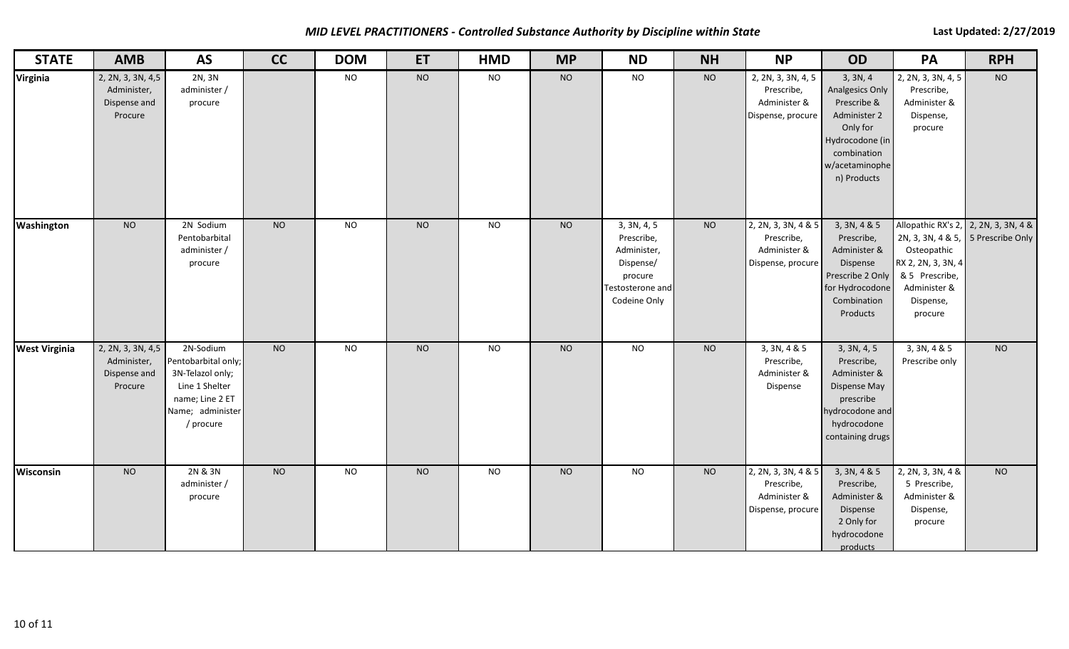*MID LEVEL PRACTITIONERS - Controlled Substance Authority by Discipline within State* **Last Last Updated: 2/27/2019** 

| <b>STATE</b>         | <b>AMB</b>                                                  | <b>AS</b>                                                                                                                  | cc             | <b>DOM</b> | <b>ET</b>      | <b>HMD</b>     | <b>MP</b> | <b>ND</b>                                                                                            | <b>NH</b> | <b>NP</b>                                                              | <b>OD</b>                                                                                                                                        | PA                                                                                                                                                                        | <b>RPH</b> |
|----------------------|-------------------------------------------------------------|----------------------------------------------------------------------------------------------------------------------------|----------------|------------|----------------|----------------|-----------|------------------------------------------------------------------------------------------------------|-----------|------------------------------------------------------------------------|--------------------------------------------------------------------------------------------------------------------------------------------------|---------------------------------------------------------------------------------------------------------------------------------------------------------------------------|------------|
| Virginia             | 2, 2N, 3, 3N, 4,5<br>Administer,<br>Dispense and<br>Procure | 2N, 3N<br>administer /<br>procure                                                                                          |                | <b>NO</b>  | <b>NO</b>      | <b>NO</b>      | <b>NO</b> | <b>NO</b>                                                                                            | <b>NO</b> | 2, 2N, 3, 3N, 4, 5<br>Prescribe,<br>Administer &<br>Dispense, procure  | 3, 3N, 4<br><b>Analgesics Only</b><br>Prescribe &<br>Administer 2<br>Only for<br>Hydrocodone (in<br>combination<br>w/acetaminophe<br>n) Products | 2, 2N, 3, 3N, 4, 5<br>Prescribe,<br>Administer &<br>Dispense,<br>procure                                                                                                  | <b>NO</b>  |
| Washington           | <b>NO</b>                                                   | 2N Sodium<br>Pentobarbital<br>administer /<br>procure                                                                      | <b>NO</b>      | <b>NO</b>  | N <sub>O</sub> | <b>NO</b>      | <b>NO</b> | 3, 3N, 4, 5<br>Prescribe,<br>Administer,<br>Dispense/<br>procure<br>Testosterone and<br>Codeine Only | <b>NO</b> | 2, 2N, 3, 3N, 4 & 5<br>Prescribe,<br>Administer &<br>Dispense, procure | 3, 3N, 4 & 5<br>Prescribe,<br>Administer &<br>Dispense<br>Prescribe 2 Only<br>for Hydrocodone<br>Combination<br>Products                         | Allopathic RX's 2, 2, 2N, 3, 3N, 4 &<br>2N, 3, 3N, 4 & 5, 5 Prescribe Only<br>Osteopathic<br>RX 2, 2N, 3, 3N, 4<br>& 5 Prescribe,<br>Administer &<br>Dispense,<br>procure |            |
| <b>West Virginia</b> | 2, 2N, 3, 3N, 4,5<br>Administer,<br>Dispense and<br>Procure | 2N-Sodium<br>Pentobarbital only;<br>3N-Telazol only;<br>Line 1 Shelter<br>name; Line 2 ET<br>Name; administer<br>/ procure | N <sub>O</sub> | <b>NO</b>  | N <sub>O</sub> | N <sub>O</sub> | <b>NO</b> | <b>NO</b>                                                                                            | <b>NO</b> | 3, 3N, 4 & 5<br>Prescribe,<br>Administer &<br>Dispense                 | 3, 3N, 4, 5<br>Prescribe,<br>Administer &<br>Dispense May<br>prescribe<br>hydrocodone and<br>hydrocodone<br>containing drugs                     | 3, 3N, 4 & 5<br>Prescribe only                                                                                                                                            | NO         |
| Wisconsin            | <b>NO</b>                                                   | 2N & 3N<br>administer /<br>procure                                                                                         | <b>NO</b>      | <b>NO</b>  | <b>NO</b>      | <b>NO</b>      | <b>NO</b> | <b>NO</b>                                                                                            | <b>NO</b> | 2, 2N, 3, 3N, 4 & 5<br>Prescribe,<br>Administer &<br>Dispense, procure | 3, 3N, 4 & 5<br>Prescribe,<br>Administer &<br>Dispense<br>2 Only for<br>hydrocodone<br>products                                                  | 2, 2N, 3, 3N, 4 &<br>5 Prescribe,<br>Administer &<br>Dispense,<br>procure                                                                                                 | <b>NO</b>  |